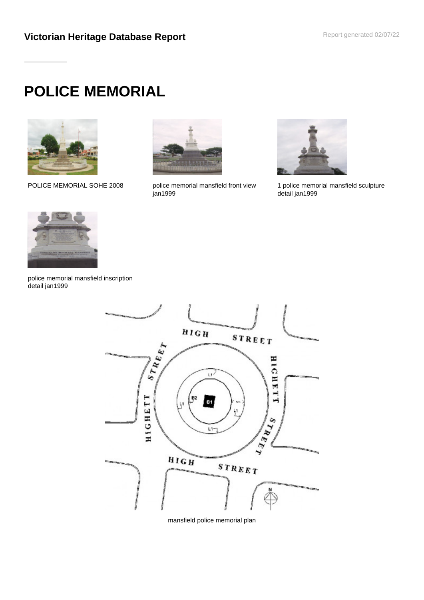# **POLICE MEMORIAL**



POLICE MEMORIAL SOHE 2008 police memorial mansfield front view



jan1999



1 police memorial mansfield sculpture detail jan1999



police memorial mansfield inscription detail jan1999



mansfield police memorial plan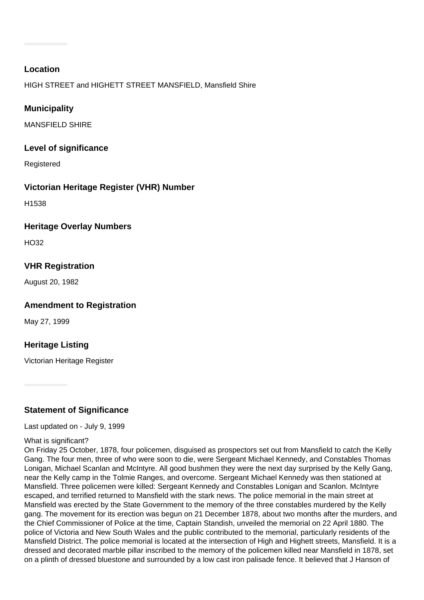## **Location**

HIGH STREET and HIGHETT STREET MANSFIELD, Mansfield Shire

## **Municipality**

MANSFIFLD SHIRF

## **Level of significance**

Registered

## **Victorian Heritage Register (VHR) Number**

H1538

## **Heritage Overlay Numbers**

 $H<sub>O32</sub>$ 

# **VHR Registration**

August 20, 1982

# **Amendment to Registration**

May 27, 1999

# **Heritage Listing**

Victorian Heritage Register

# **Statement of Significance**

Last updated on - July 9, 1999

#### What is significant?

On Friday 25 October, 1878, four policemen, disguised as prospectors set out from Mansfield to catch the Kelly Gang. The four men, three of who were soon to die, were Sergeant Michael Kennedy, and Constables Thomas Lonigan, Michael Scanlan and McIntyre. All good bushmen they were the next day surprised by the Kelly Gang, near the Kelly camp in the Tolmie Ranges, and overcome. Sergeant Michael Kennedy was then stationed at Mansfield. Three policemen were killed: Sergeant Kennedy and Constables Lonigan and Scanlon. McIntyre escaped, and terrified returned to Mansfield with the stark news. The police memorial in the main street at Mansfield was erected by the State Government to the memory of the three constables murdered by the Kelly gang. The movement for its erection was begun on 21 December 1878, about two months after the murders, and the Chief Commissioner of Police at the time, Captain Standish, unveiled the memorial on 22 April 1880. The police of Victoria and New South Wales and the public contributed to the memorial, particularly residents of the Mansfield District. The police memorial is located at the intersection of High and Highett streets, Mansfield. It is a dressed and decorated marble pillar inscribed to the memory of the policemen killed near Mansfield in 1878, set on a plinth of dressed bluestone and surrounded by a low cast iron palisade fence. It believed that J Hanson of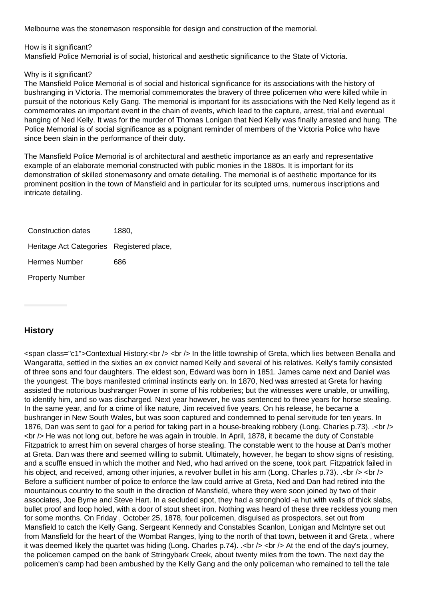Melbourne was the stonemason responsible for design and construction of the memorial.

How is it significant?

Mansfield Police Memorial is of social, historical and aesthetic significance to the State of Victoria.

Why is it significant?

The Mansfield Police Memorial is of social and historical significance for its associations with the history of bushranging in Victoria. The memorial commemorates the bravery of three policemen who were killed while in pursuit of the notorious Kelly Gang. The memorial is important for its associations with the Ned Kelly legend as it commemorates an important event in the chain of events, which lead to the capture, arrest, trial and eventual hanging of Ned Kelly. It was for the murder of Thomas Lonigan that Ned Kelly was finally arrested and hung. The Police Memorial is of social significance as a poignant reminder of members of the Victoria Police who have since been slain in the performance of their duty.

The Mansfield Police Memorial is of architectural and aesthetic importance as an early and representative example of an elaborate memorial constructed with public monies in the 1880s. It is important for its demonstration of skilled stonemasonry and ornate detailing. The memorial is of aesthetic importance for its prominent position in the town of Mansfield and in particular for its sculpted urns, numerous inscriptions and intricate detailing.

Construction dates 1880. Heritage Act Categories Registered place, Hermes Number 686

Property Number

# **History**

<span class="c1">Contextual History:<br /> <br /> In the little township of Greta, which lies between Benalla and Wangaratta, settled in the sixties an ex convict named Kelly and several of his relatives. Kelly's family consisted of three sons and four daughters. The eldest son, Edward was born in 1851. James came next and Daniel was the youngest. The boys manifested criminal instincts early on. In 1870, Ned was arrested at Greta for having assisted the notorious bushranger Power in some of his robberies; but the witnesses were unable, or unwilling, to identify him, and so was discharged. Next year however, he was sentenced to three years for horse stealing. In the same year, and for a crime of like nature, Jim received five years. On his release, he became a bushranger in New South Wales, but was soon captured and condemned to penal servitude for ten years. In 1876, Dan was sent to gaol for a period for taking part in a house-breaking robbery (Long. Charles p.73). .< br /> <br /> He was not long out, before he was again in trouble. In April, 1878, it became the duty of Constable Fitzpatrick to arrest him on several charges of horse stealing. The constable went to the house at Dan's mother at Greta. Dan was there and seemed willing to submit. Ultimately, however, he began to show signs of resisting, and a scuffle ensued in which the mother and Ned, who had arrived on the scene, took part. Fitzpatrick failed in his object, and received, among other injuries, a revolver bullet in his arm (Long. Charles p.73).  $\langle$ br  $/$ > <br  $/$ > Before a sufficient number of police to enforce the law could arrive at Greta, Ned and Dan had retired into the mountainous country to the south in the direction of Mansfield, where they were soon joined by two of their associates, Joe Byrne and Steve Hart. In a secluded spot, they had a stronghold -a hut with walls of thick slabs, bullet proof and loop holed, with a door of stout sheet iron. Nothing was heard of these three reckless young men for some months. On Friday , October 25, 1878, four policemen, disguised as prospectors, set out from Mansfield to catch the Kelly Gang. Sergeant Kennedy and Constables Scanlon, Lonigan and McIntyre set out from Mansfield for the heart of the Wombat Ranges, lying to the north of that town, between it and Greta , where it was deemed likely the quartet was hiding (Long. Charles  $p.74$ ). .  $\lt$  br />  $\lt$  at the end of the day's journey, the policemen camped on the bank of Stringybark Creek, about twenty miles from the town. The next day the policemen's camp had been ambushed by the Kelly Gang and the only policeman who remained to tell the tale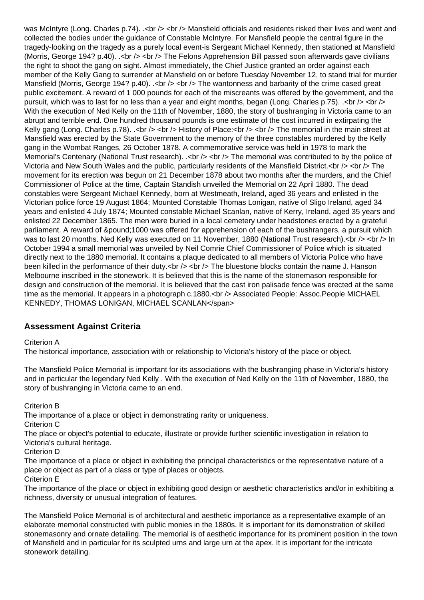was McIntyre (Long. Charles p.74). .< br /> < br /> Mansfield officials and residents risked their lives and went and collected the bodies under the guidance of Constable McIntyre. For Mansfield people the central figure in the tragedy-looking on the tragedy as a purely local event-is Sergeant Michael Kennedy, then stationed at Mansfield (Morris, George 194? p.40). .  $\langle$ br />  $\langle$ br /> The Felons Apprehension Bill passed soon afterwards gave civilians the right to shoot the gang on sight. Almost immediately, the Chief Justice granted an order against each member of the Kelly Gang to surrender at Mansfield on or before Tuesday November 12, to stand trial for murder Mansfield (Morris, George 194? p.40). .<br />> <br />> The wantonness and barbarity of the crime cased great public excitement. A reward of 1 000 pounds for each of the miscreants was offered by the government, and the pursuit, which was to last for no less than a year and eight months, began (Long. Charles p.75).  $\langle$ br  $/$  <br /> With the execution of Ned Kelly on the 11th of November, 1880, the story of bushranging in Victoria came to an abrupt and terrible end. One hundred thousand pounds is one estimate of the cost incurred in extirpating the Kelly gang (Long. Charles p.78).  $\langle$ br  $/$ > $\langle$ br  $/$ > $\rangle$  History of Place: $\langle$ br  $/$ > $\langle$ br  $/$ > $\rangle$  The memorial in the main street at Mansfield was erected by the State Government to the memory of the three constables murdered by the Kelly gang in the Wombat Ranges, 26 October 1878. A commemorative service was held in 1978 to mark the Memorial's Centenary (National Trust research). .< br />> < br /> The memorial was contributed to by the police of Victoria and New South Wales and the public, particularly residents of the Mansfield District.<br />> <br />> <br />The movement for its erection was begun on 21 December 1878 about two months after the murders, and the Chief Commissioner of Police at the time, Captain Standish unveiled the Memorial on 22 April 1880. The dead constables were Sergeant Michael Kennedy, born at Westmeath, Ireland, aged 36 years and enlisted in the Victorian police force 19 August 1864; Mounted Constable Thomas Lonigan, native of Sligo Ireland, aged 34 years and enlisted 4 July 1874; Mounted constable Michael Scanlan, native of Kerry, Ireland, aged 35 years and enlisted 22 December 1865. The men were buried in a local cemetery under headstones erected by a grateful parliament. A reward of £1000 was offered for apprehension of each of the bushrangers, a pursuit which was to last 20 months. Ned Kelly was executed on 11 November, 1880 (National Trust research). < br />> < br /> In October 1994 a small memorial was unveiled by Neil Comrie Chief Commissioner of Police which is situated directly next to the 1880 memorial. It contains a plaque dedicated to all members of Victoria Police who have been killed in the performance of their duty.<br />> <br />> <br />The bluestone blocks contain the name J. Hanson Melbourne inscribed in the stonework. It is believed that this is the name of the stonemason responsible for design and construction of the memorial. It is believed that the cast iron palisade fence was erected at the same time as the memorial. It appears in a photograph c.1880.<br />> Associated People: Assoc.People MICHAEL KENNEDY, THOMAS LONIGAN, MICHAEL SCANLAN</span>

# **Assessment Against Criteria**

Criterion A

The historical importance, association with or relationship to Victoria's history of the place or object.

The Mansfield Police Memorial is important for its associations with the bushranging phase in Victoria's history and in particular the legendary Ned Kelly . With the execution of Ned Kelly on the 11th of November, 1880, the story of bushranging in Victoria came to an end.

Criterion B

The importance of a place or object in demonstrating rarity or uniqueness.

Criterion C

The place or object's potential to educate, illustrate or provide further scientific investigation in relation to Victoria's cultural heritage.

Criterion D

The importance of a place or object in exhibiting the principal characteristics or the representative nature of a place or object as part of a class or type of places or objects.

Criterion E

The importance of the place or object in exhibiting good design or aesthetic characteristics and/or in exhibiting a richness, diversity or unusual integration of features.

The Mansfield Police Memorial is of architectural and aesthetic importance as a representative example of an elaborate memorial constructed with public monies in the 1880s. It is important for its demonstration of skilled stonemasonry and ornate detailing. The memorial is of aesthetic importance for its prominent position in the town of Mansfield and in particular for its sculpted urns and large urn at the apex. It is important for the intricate stonework detailing.